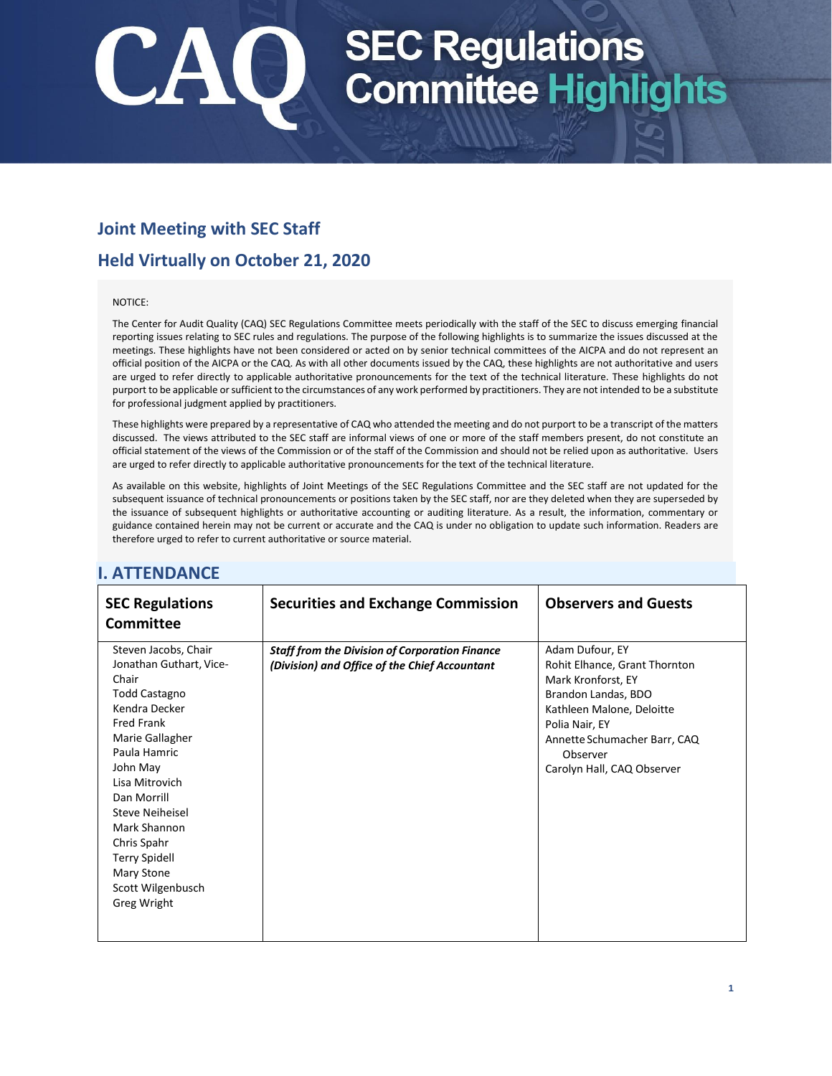## **Joint Meeting with SEC Staff**

## **Held Virtually on October 21, 2020**

### NOTICE:

The Center for Audit Quality (CAQ) SEC Regulations Committee meets periodically with the staff of the SEC to discuss emerging financial reporting issues relating to SEC rules and regulations. The purpose of the following highlights is to summarize the issues discussed at the meetings. These highlights have not been considered or acted on by senior technical committees of the AICPA and do not represent an official position of the AICPA or the CAQ. As with all other documents issued by the CAQ, these highlights are not authoritative and users are urged to refer directly to applicable authoritative pronouncements for the text of the technical literature. These highlights do not purport to be applicable or sufficient to the circumstances of any work performed by practitioners. They are not intended to be a substitute for professional judgment applied by practitioners.

These highlights were prepared by a representative of CAQ who attended the meeting and do not purport to be a transcript of the matters discussed. The views attributed to the SEC staff are informal views of one or more of the staff members present, do not constitute an official statement of the views of the Commission or of the staff of the Commission and should not be relied upon as authoritative. Users are urged to refer directly to applicable authoritative pronouncements for the text of the technical literature.

As available on this website, highlights of Joint Meetings of the SEC Regulations Committee and the SEC staff are not updated for the subsequent issuance of technical pronouncements or positions taken by the SEC staff, nor are they deleted when they are superseded by the issuance of subsequent highlights or authoritative accounting or auditing literature. As a result, the information, commentary or guidance contained herein may not be current or accurate and the CAQ is under no obligation to update such information. Readers are therefore urged to refer to current authoritative or source material.

| <b>SEC Regulations</b><br><b>Committee</b>                                                                                                                                                                                                                                                                                         | <b>Securities and Exchange Commission</b>                                                              | <b>Observers and Guests</b>                                                                                                                                                                                            |
|------------------------------------------------------------------------------------------------------------------------------------------------------------------------------------------------------------------------------------------------------------------------------------------------------------------------------------|--------------------------------------------------------------------------------------------------------|------------------------------------------------------------------------------------------------------------------------------------------------------------------------------------------------------------------------|
| Steven Jacobs, Chair<br>Jonathan Guthart, Vice-<br>Chair<br><b>Todd Castagno</b><br>Kendra Decker<br><b>Fred Frank</b><br>Marie Gallagher<br>Paula Hamric<br>John May<br>Lisa Mitrovich<br>Dan Morrill<br>Steve Neiheisel<br>Mark Shannon<br>Chris Spahr<br><b>Terry Spidell</b><br>Mary Stone<br>Scott Wilgenbusch<br>Greg Wright | <b>Staff from the Division of Corporation Finance</b><br>(Division) and Office of the Chief Accountant | Adam Dufour, EY<br>Rohit Elhance, Grant Thornton<br>Mark Kronforst, EY<br>Brandon Landas, BDO<br>Kathleen Malone, Deloitte<br>Polia Nair, EY<br>Annette Schumacher Barr, CAQ<br>Observer<br>Carolyn Hall, CAQ Observer |

## **I. ATTENDANCE**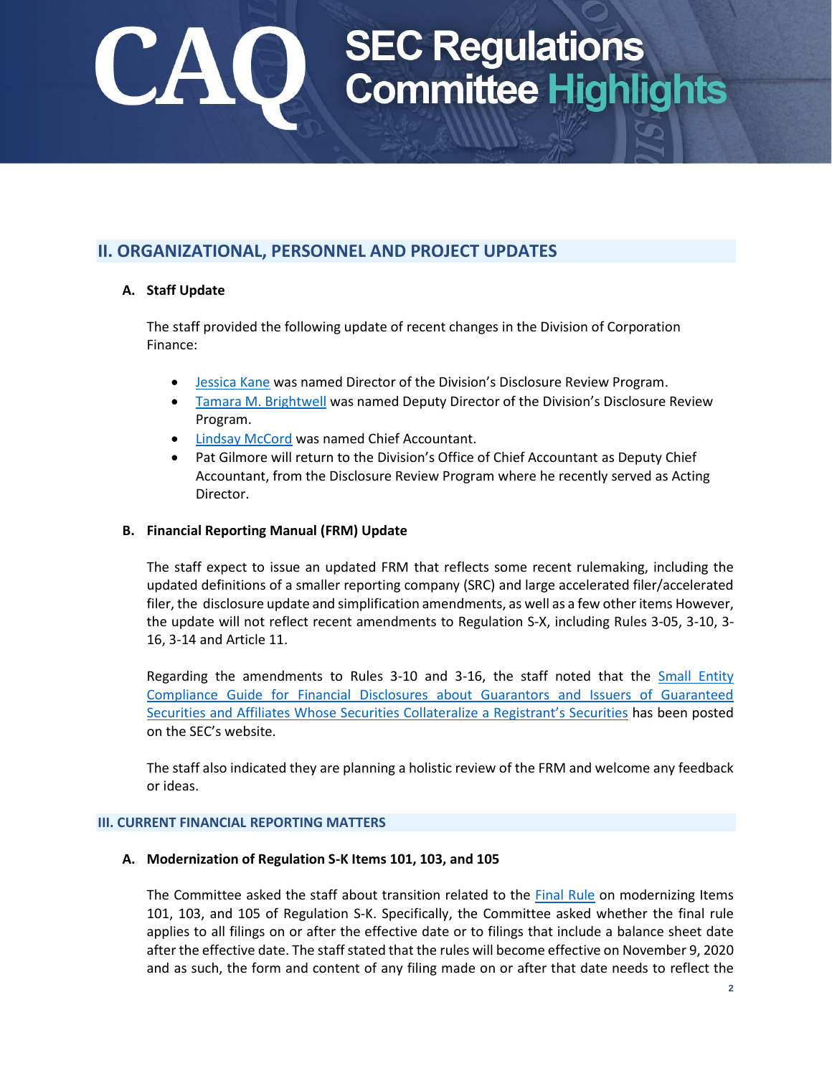## **II. ORGANIZATIONAL, PERSONNEL AND PROJECT UPDATES**

### **A. Staff Update**

The staff provided the following update of recent changes in the Division of Corporation Finance:

- [Jessica Kane](https://www.sec.gov/news/press-release/2020-252) was named Director of the Division's Disclosure Review Program.
- [Tamara M. Brightwell](https://www.sec.gov/news/press-release/2020-253) was named Deputy Director of the Division's Disclosure Review Program.
- [Lindsay McCord](https://www.sec.gov/news/press-release/2020-176) was named Chief Accountant.
- Pat Gilmore will return to the Division's Office of Chief Accountant as Deputy Chief Accountant, from the Disclosure Review Program where he recently served as Acting Director.

### **B. Financial Reporting Manual (FRM) Update**

The staff expect to issue an updated FRM that reflects some recent rulemaking, including the updated definitions of a smaller reporting company (SRC) and large accelerated filer/accelerated filer, th[e disclosure update and simplification amendments,](https://www.sec.gov/rules/final/2018/33-10532.pdf) as well as a few other items However, the update will not reflect recent amendments to Regulation S-X, including Rules 3-05, 3-10, 3- 16, 3-14 and Article 11.

Regarding the amendments to Rules 3-10 and 3-16, the staff noted that the [Small Entity](https://www.sec.gov/corpfin/secg-financial-disclosures-guaranteed-securities#registrants)  [Compliance Guide for Financial Disclosures about Guarantors and Issuers of Guaranteed](https://www.sec.gov/corpfin/secg-financial-disclosures-guaranteed-securities#registrants)  Securities [and Affiliates Whose Securities Collateralize a Registrant's Securities](https://www.sec.gov/corpfin/secg-financial-disclosures-guaranteed-securities#registrants) has been posted on the SEC's website.

The staff also indicated they are planning a holistic review of the FRM and welcome any feedback or ideas.

### **III. CURRENT FINANCIAL REPORTING MATTERS**

### **A. Modernization of Regulation S-K Items 101, 103, and 105**

The Committee asked the staff about transition related to the [Final Rule](https://www.sec.gov/rules/final/2020/33-10825.pdf) on modernizing Items 101, 103, and 105 of Regulation S-K. Specifically, the Committee asked whether the final rule applies to all filings on or after the effective date or to filings that include a balance sheet date after the effective date. The staff stated that the rules will become effective on November 9, 2020 and as such, the form and content of any filing made on or after that date needs to reflect the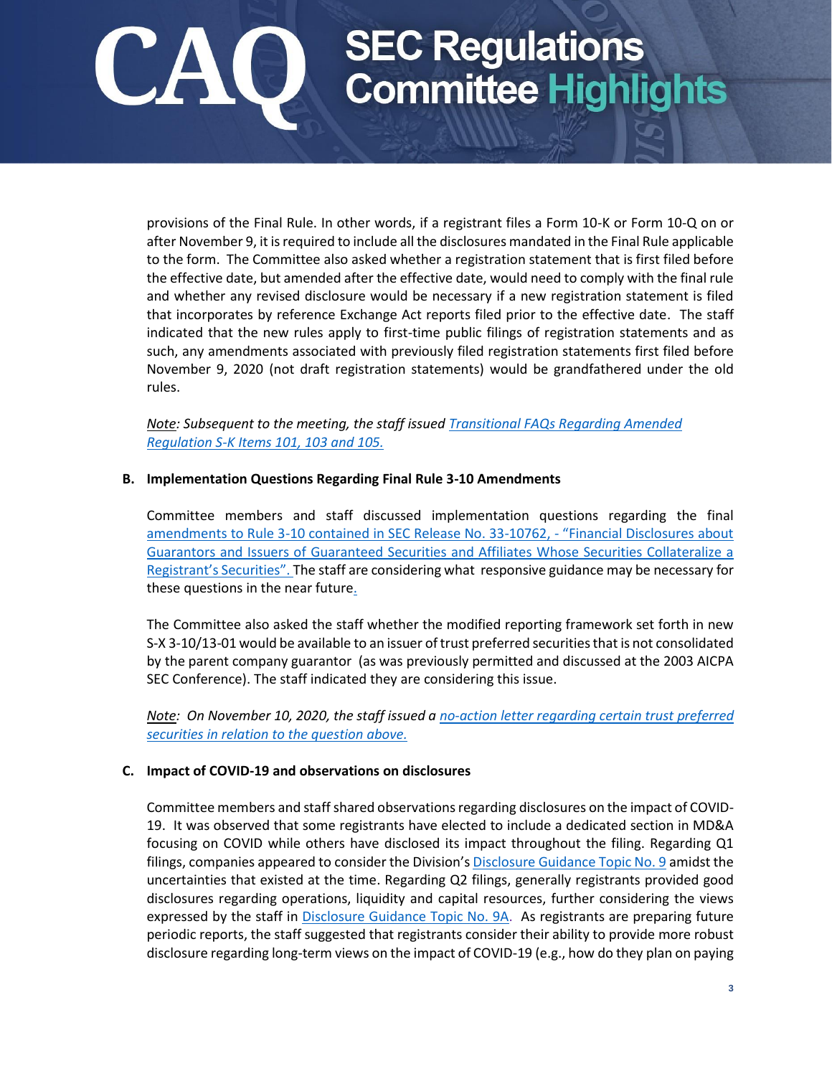provisions of the Final Rule. In other words, if a registrant files a Form 10-K or Form 10-Q on or after November 9, it is required to include all the disclosures mandated in the Final Rule applicable to the form. The Committee also asked whether a registration statement that is first filed before the effective date, but amended after the effective date, would need to comply with the final rule and whether any revised disclosure would be necessary if a new registration statement is filed that incorporates by reference Exchange Act reports filed prior to the effective date. The staff indicated that the new rules apply to first-time public filings of registration statements and as such, any amendments associated with previously filed registration statements first filed before November 9, 2020 (not draft registration statements) would be grandfathered under the old rules.

*Note: Subsequent to the meeting, the staff issued [Transitional FAQs Regarding Amended](https://www.sec.gov/corpfin/transitional-faqs-amended-regulation-s-k-items-101-103-105)  [Regulation S-K Items 101, 103 and 105.](https://www.sec.gov/corpfin/transitional-faqs-amended-regulation-s-k-items-101-103-105)*

### **B. Implementation Questions Regarding Final Rule 3-10 Amendments**

Committee members and staff discussed implementation questions regarding the final amendments to Rule 3-10 [contained in SEC Release No. 33-10762,](https://www.sec.gov/rules/final/2020/33-10762.pdf) - "Financial Disclosures about [Guarantors and Issuers of Guaranteed Securities and Affiliates Whose Securities Collateralize a](https://www.sec.gov/rules/final/2020/33-10762.pdf)  Registrant's Securities". The [staff are considering what responsive guidance may be necessary for](https://www.sec.gov/rules/final/2020/33-10762.pdf)  [these questions in the near future.](https://www.sec.gov/rules/final/2020/33-10762.pdf) 

The Committee also asked the staff whether the modified reporting framework set forth in new S-X 3-10/13-01 would be available to an issuer of trust preferred securities that is not consolidated by the parent company guarantor (as was previously permitted and discussed at the 2003 AICPA SEC Conference). The staff indicated they are considering this issue.

*Note: On November 10, 2020, the staff issued [a no-action letter regarding certain trust preferred](https://www.sec.gov/corpfin/certain-trust-preferred-securities-111020)  securities [in relation to the question above.](https://www.sec.gov/corpfin/certain-trust-preferred-securities-111020)*

### **C. Impact of COVID-19 and observations on disclosures**

Committee members and staff shared observations regarding disclosures on the impact of COVID-19. It was observed that some registrants have elected to include a dedicated section in MD&A focusing on COVID while others have disclosed its impact throughout the filing. Regarding Q1 filings, companies appeared to consider the Division's [Disclosure Guidance Topic No. 9](https://www.sec.gov/corpfin/coronavirus-covid-19) amidst the uncertainties that existed at the time. Regarding Q2 filings, generally registrants provided good disclosures regarding operations, liquidity and capital resources, further considering the views expressed by the staff in [Disclosure Guidance Topic No. 9A.](https://www.sec.gov/corpfin/covid-19-disclosure-considerations) As registrants are preparing future periodic reports, the staff suggested that registrants consider their ability to provide more robust disclosure regarding long-term views on the impact of COVID-19 (e.g., how do they plan on paying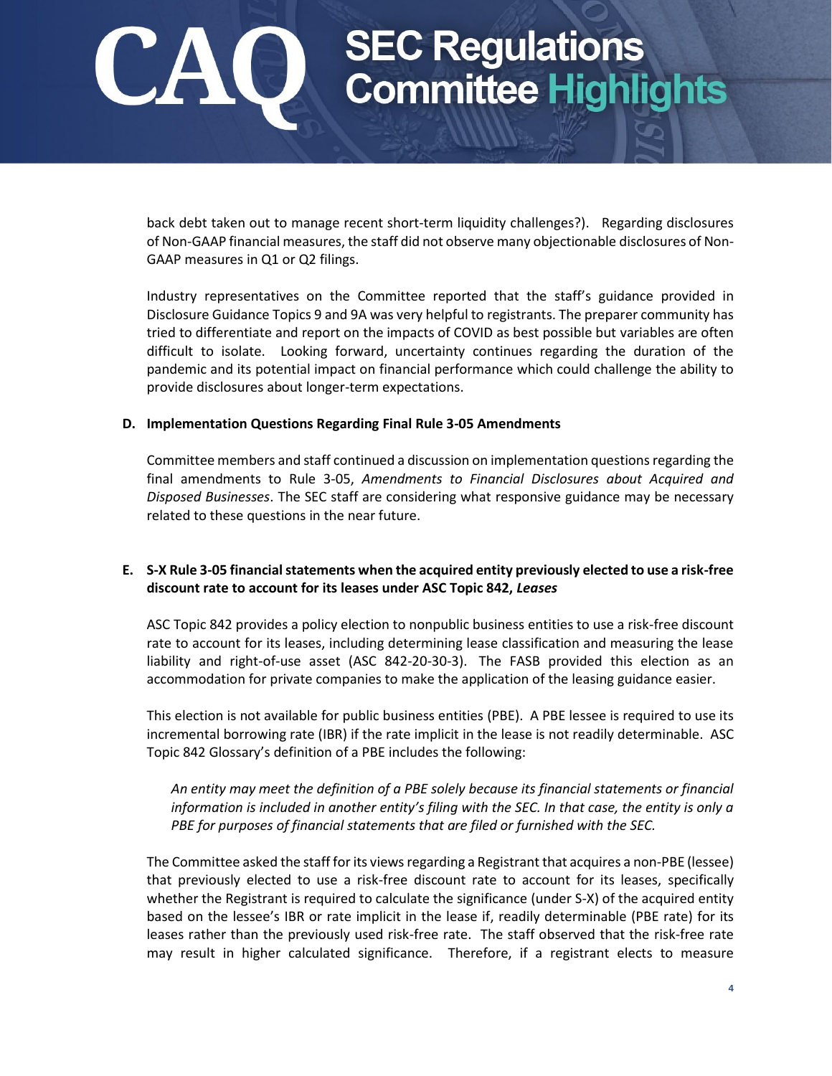back debt taken out to manage recent short-term liquidity challenges?). Regarding disclosures of Non-GAAP financial measures, the staff did not observe many objectionable disclosures of Non-GAAP measures in Q1 or Q2 filings.

Industry representatives on the Committee reported that the staff's guidance provided in Disclosure Guidance Topics 9 and 9A was very helpful to registrants. The preparer community has tried to differentiate and report on the impacts of COVID as best possible but variables are often difficult to isolate. Looking forward, uncertainty continues regarding the duration of the pandemic and its potential impact on financial performance which could challenge the ability to provide disclosures about longer-term expectations.

### **D. Implementation Questions Regarding Final Rule 3-05 Amendments**

Committee members and staff continued a discussion on implementation questions regarding the final amendments to Rule 3-05, *Amendments to Financial Disclosures about Acquired and Disposed Businesses*. The SEC staff are considering what responsive guidance may be necessary related to these questions in the near future.

### **E. S-X Rule 3-05 financial statements when the acquired entity previously elected to use a risk-free discount rate to account for its leases under ASC Topic 842,** *Leases*

ASC Topic 842 provides a policy election to nonpublic business entities to use a risk-free discount rate to account for its leases, including determining lease classification and measuring the lease liability and right-of-use asset (ASC 842-20-30-3). The FASB provided this election as an accommodation for private companies to make the application of the leasing guidance easier.

This election is not available for public business entities (PBE). A PBE lessee is required to use its incremental borrowing rate (IBR) if the rate implicit in the lease is not readily determinable. ASC Topic 842 Glossary's definition of a PBE includes the following:

*An entity may meet the definition of a PBE solely because its financial statements or financial information is included in another entity's filing with the SEC. In that case, the entity is only a PBE for purposes of financial statements that are filed or furnished with the SEC.*

The Committee asked the staff for its viewsregarding a Registrant that acquires a non-PBE (lessee) that previously elected to use a risk-free discount rate to account for its leases, specifically whether the Registrant is required to calculate the significance (under S-X) of the acquired entity based on the lessee's IBR or rate implicit in the lease if, readily determinable (PBE rate) for its leases rather than the previously used risk-free rate. The staff observed that the risk-free rate may result in higher calculated significance. Therefore, if a registrant elects to measure